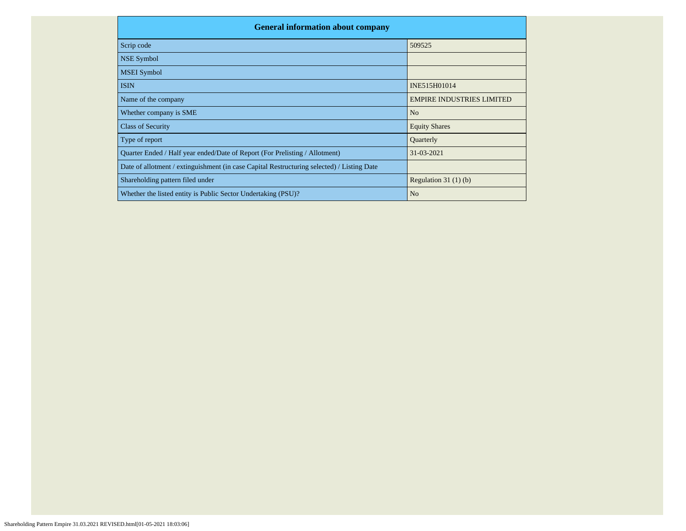| <b>General information about company</b>                                                   |                                  |  |  |  |  |  |  |  |
|--------------------------------------------------------------------------------------------|----------------------------------|--|--|--|--|--|--|--|
| Scrip code                                                                                 | 509525                           |  |  |  |  |  |  |  |
| <b>NSE Symbol</b>                                                                          |                                  |  |  |  |  |  |  |  |
| <b>MSEI</b> Symbol                                                                         |                                  |  |  |  |  |  |  |  |
| <b>ISIN</b>                                                                                | INE515H01014                     |  |  |  |  |  |  |  |
| Name of the company                                                                        | <b>EMPIRE INDUSTRIES LIMITED</b> |  |  |  |  |  |  |  |
| Whether company is SME                                                                     | N <sub>o</sub>                   |  |  |  |  |  |  |  |
| <b>Class of Security</b>                                                                   | <b>Equity Shares</b>             |  |  |  |  |  |  |  |
| Type of report                                                                             | Quarterly                        |  |  |  |  |  |  |  |
| Quarter Ended / Half year ended/Date of Report (For Prelisting / Allotment)                | 31-03-2021                       |  |  |  |  |  |  |  |
| Date of allotment / extinguishment (in case Capital Restructuring selected) / Listing Date |                                  |  |  |  |  |  |  |  |
| Shareholding pattern filed under                                                           | Regulation $31(1)(b)$            |  |  |  |  |  |  |  |
| Whether the listed entity is Public Sector Undertaking (PSU)?                              | N <sub>o</sub>                   |  |  |  |  |  |  |  |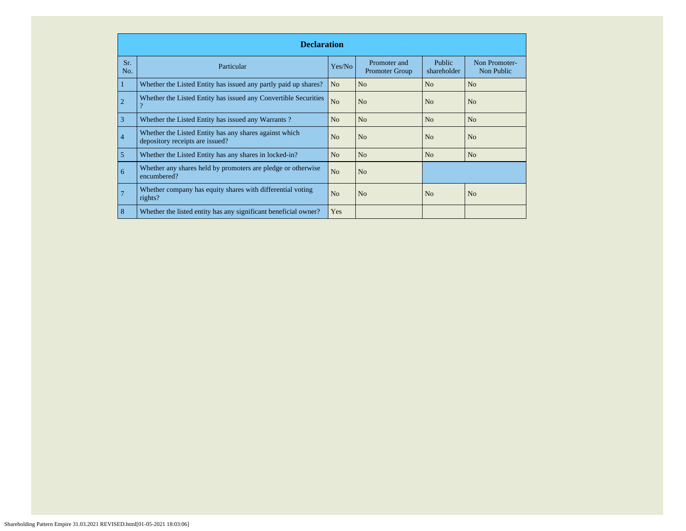|                | <b>Declaration</b>                                                                        |                |                                       |                       |                             |  |  |  |  |  |  |
|----------------|-------------------------------------------------------------------------------------------|----------------|---------------------------------------|-----------------------|-----------------------------|--|--|--|--|--|--|
| Sr.<br>No.     | Particular                                                                                | Yes/No         | Promoter and<br><b>Promoter Group</b> | Public<br>shareholder | Non Promoter-<br>Non Public |  |  |  |  |  |  |
|                | Whether the Listed Entity has issued any partly paid up shares?                           | N <sub>o</sub> | No                                    | N <sub>o</sub>        | N <sub>o</sub>              |  |  |  |  |  |  |
| $\overline{2}$ | Whether the Listed Entity has issued any Convertible Securities<br>$\overline{?}$         | N <sub>o</sub> | No                                    | No                    | N <sub>o</sub>              |  |  |  |  |  |  |
| 3              | Whether the Listed Entity has issued any Warrants?                                        | N <sub>o</sub> | N <sub>o</sub>                        | N <sub>o</sub>        | N <sub>o</sub>              |  |  |  |  |  |  |
| $\overline{4}$ | Whether the Listed Entity has any shares against which<br>depository receipts are issued? | N <sub>o</sub> | N <sub>o</sub>                        | No                    | N <sub>o</sub>              |  |  |  |  |  |  |
| 5              | Whether the Listed Entity has any shares in locked-in?                                    | N <sub>o</sub> | N <sub>o</sub>                        | N <sub>o</sub>        | N <sub>o</sub>              |  |  |  |  |  |  |
| 6              | Whether any shares held by promoters are pledge or otherwise<br>encumbered?               | N <sub>o</sub> | N <sub>o</sub>                        |                       |                             |  |  |  |  |  |  |
|                | Whether company has equity shares with differential voting<br>rights?                     | N <sub>o</sub> | N <sub>o</sub>                        | N <sub>o</sub>        | N <sub>o</sub>              |  |  |  |  |  |  |
| 8              | Whether the listed entity has any significant beneficial owner?                           | Yes            |                                       |                       |                             |  |  |  |  |  |  |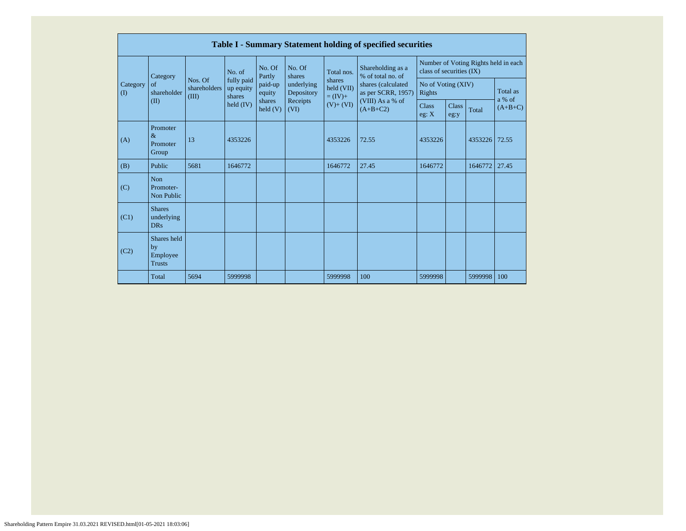|                          |                                                |                                  |                                                  |                                        |                                                                  |                                    | <b>Table I - Summary Statement holding of specified securities</b> |                                                                  |                      |                    |           |
|--------------------------|------------------------------------------------|----------------------------------|--------------------------------------------------|----------------------------------------|------------------------------------------------------------------|------------------------------------|--------------------------------------------------------------------|------------------------------------------------------------------|----------------------|--------------------|-----------|
|                          | Category                                       |                                  | No. of                                           | No. Of<br>Partly                       | No. Of<br>shares<br>underlying<br>Depository<br>Receipts<br>(VI) | Total nos.                         | Shareholding as a<br>% of total no. of                             | Number of Voting Rights held in each<br>class of securities (IX) |                      |                    |           |
| Category<br>$($ $\Gamma$ | of<br>shareholder                              | Nos. Of<br>shareholders<br>(III) | fully paid<br>up equity<br>shares<br>held $(IV)$ | paid-up<br>equity<br>shares<br>held(V) |                                                                  | shares<br>held (VII)<br>$= (IV) +$ | shares (calculated<br>as per SCRR, 1957)<br>(VIII) As a % of       | No of Voting (XIV)<br>Rights                                     |                      | Total as<br>a % of |           |
|                          | (II)                                           |                                  |                                                  |                                        |                                                                  | $(V)+(VI)$                         | $(A+B+C2)$                                                         | <b>Class</b><br>eg: $X$                                          | <b>Class</b><br>eg:y | Total              | $(A+B+C)$ |
| (A)                      | Promoter<br>$\&$<br>Promoter<br>Group          | 13                               | 4353226                                          |                                        |                                                                  | 4353226                            | 72.55                                                              | 4353226                                                          |                      | 4353226            | 72.55     |
| (B)                      | Public                                         | 5681                             | 1646772                                          |                                        |                                                                  | 1646772                            | 27.45                                                              | 1646772                                                          |                      | 1646772            | 27.45     |
| (C)                      | <b>Non</b><br>Promoter-<br>Non Public          |                                  |                                                  |                                        |                                                                  |                                    |                                                                    |                                                                  |                      |                    |           |
| (C1)                     | <b>Shares</b><br>underlying<br><b>DRs</b>      |                                  |                                                  |                                        |                                                                  |                                    |                                                                    |                                                                  |                      |                    |           |
| (C2)                     | Shares held<br>by<br>Employee<br><b>Trusts</b> |                                  |                                                  |                                        |                                                                  |                                    |                                                                    |                                                                  |                      |                    |           |
|                          | Total                                          | 5694                             | 5999998                                          |                                        |                                                                  | 5999998                            | 100                                                                | 5999998                                                          |                      | 5999998            | 100       |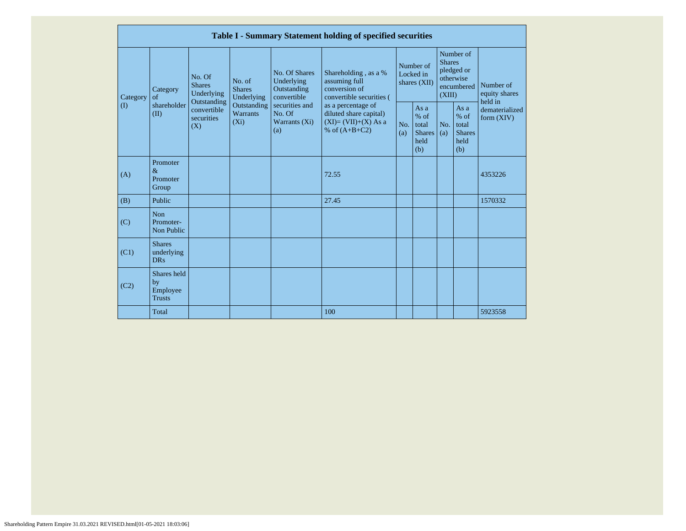|                 |                                                |                                                                                                                                                                         |                                                     |                                                                                          | Table I - Summary Statement holding of specified securities                        |                                                         |            |                                                                               |                                |                                       |
|-----------------|------------------------------------------------|-------------------------------------------------------------------------------------------------------------------------------------------------------------------------|-----------------------------------------------------|------------------------------------------------------------------------------------------|------------------------------------------------------------------------------------|---------------------------------------------------------|------------|-------------------------------------------------------------------------------|--------------------------------|---------------------------------------|
| Category<br>(1) | Category<br>$\sigma$ f<br>shareholder<br>(II)  | No. Of<br>No. of<br><b>Shares</b><br><b>Shares</b><br>Underlying<br>Underlying<br>Outstanding<br>Outstanding<br>convertible<br>Warrants<br>securities<br>$(X_i)$<br>(X) |                                                     | No. Of Shares<br>Underlying<br>Outstanding<br>convertible                                | Shareholding, as a %<br>assuming full<br>conversion of<br>convertible securities ( | Number of<br>Locked in<br>shares (XII)                  |            | Number of<br><b>Shares</b><br>pledged or<br>otherwise<br>encumbered<br>(XIII) |                                | Number of<br>equity shares<br>held in |
|                 |                                                |                                                                                                                                                                         | securities and<br>No. Of<br>Warrants $(X_i)$<br>(a) | as a percentage of<br>diluted share capital)<br>$(XI)=(VII)+(X) As a$<br>% of $(A+B+C2)$ | No.<br>(a)                                                                         | As a<br>$%$ of<br>total<br><b>Shares</b><br>held<br>(b) | No.<br>(a) | As a<br>$%$ of<br>total<br><b>Shares</b><br>held<br>(b)                       | dematerialized<br>form $(XIV)$ |                                       |
| (A)             | Promoter<br>$\&$<br>Promoter<br>Group          |                                                                                                                                                                         |                                                     |                                                                                          | 72.55                                                                              |                                                         |            |                                                                               |                                | 4353226                               |
| (B)             | Public                                         |                                                                                                                                                                         |                                                     |                                                                                          | 27.45                                                                              |                                                         |            |                                                                               |                                | 1570332                               |
| (C)             | <b>Non</b><br>Promoter-<br>Non Public          |                                                                                                                                                                         |                                                     |                                                                                          |                                                                                    |                                                         |            |                                                                               |                                |                                       |
| (C1)            | <b>Shares</b><br>underlying<br><b>DRs</b>      |                                                                                                                                                                         |                                                     |                                                                                          |                                                                                    |                                                         |            |                                                                               |                                |                                       |
| (C2)            | Shares held<br>by<br>Employee<br><b>Trusts</b> |                                                                                                                                                                         |                                                     |                                                                                          |                                                                                    |                                                         |            |                                                                               |                                |                                       |
|                 | Total                                          |                                                                                                                                                                         |                                                     |                                                                                          | 100                                                                                |                                                         |            |                                                                               |                                | 5923558                               |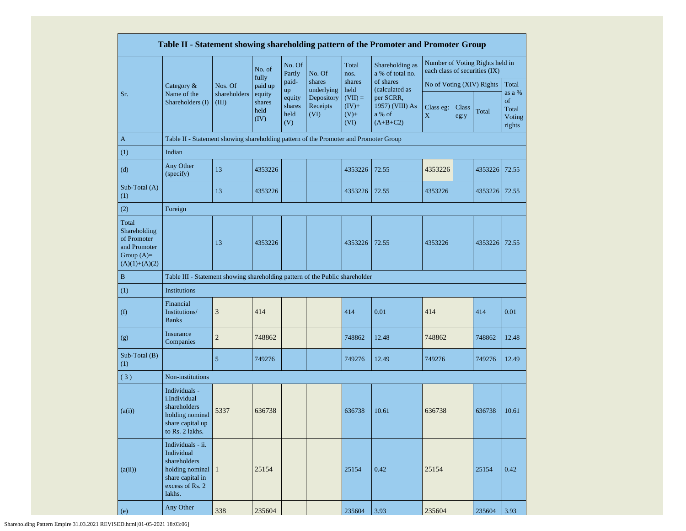|                                                                                         |                                                                                                                               |                       |                                  |                                       |                                              |                                                 | Table II - Statement showing shareholding pattern of the Promoter and Promoter Group |                               |               |                                 |                                           |
|-----------------------------------------------------------------------------------------|-------------------------------------------------------------------------------------------------------------------------------|-----------------------|----------------------------------|---------------------------------------|----------------------------------------------|-------------------------------------------------|--------------------------------------------------------------------------------------|-------------------------------|---------------|---------------------------------|-------------------------------------------|
|                                                                                         |                                                                                                                               |                       | No. of                           | No. Of<br>Partly                      | No. Of                                       | Total<br>nos.                                   | Shareholding as<br>a % of total no.                                                  | each class of securities (IX) |               | Number of Voting Rights held in |                                           |
|                                                                                         | Category $\&$                                                                                                                 | Nos. Of               | fully<br>paid up                 | paid-                                 | shares                                       | shares                                          | of shares                                                                            | No of Voting (XIV) Rights     |               |                                 | Total                                     |
| Sr.                                                                                     | Name of the<br>Shareholders (I)                                                                                               | shareholders<br>(III) | equity<br>shares<br>held<br>(IV) | up<br>equity<br>shares<br>held<br>(V) | underlying<br>Depository<br>Receipts<br>(VI) | held<br>$(VII) =$<br>$(IV)+$<br>$(V)$ +<br>(VI) | (calculated as<br>per SCRR,<br>1957) (VIII) As<br>a % of<br>$(A+B+C2)$               | Class eg:<br>X                | Class<br>eg:y | Total                           | as a %<br>of<br>Total<br>Voting<br>rights |
| $\mathbf{A}$                                                                            | Table II - Statement showing shareholding pattern of the Promoter and Promoter Group                                          |                       |                                  |                                       |                                              |                                                 |                                                                                      |                               |               |                                 |                                           |
| (1)                                                                                     | Indian                                                                                                                        |                       |                                  |                                       |                                              |                                                 |                                                                                      |                               |               |                                 |                                           |
| (d)                                                                                     | Any Other<br>(specify)                                                                                                        | 13                    | 4353226                          |                                       |                                              | 4353226                                         | 72.55                                                                                | 4353226                       |               | 4353226                         | 72.55                                     |
| Sub-Total (A)<br>(1)                                                                    |                                                                                                                               | 13                    | 4353226                          |                                       |                                              | 4353226                                         | 72.55                                                                                | 4353226                       |               | 4353226                         | 72.55                                     |
| (2)                                                                                     | Foreign                                                                                                                       |                       |                                  |                                       |                                              |                                                 |                                                                                      |                               |               |                                 |                                           |
| Total<br>Shareholding<br>of Promoter<br>and Promoter<br>Group $(A)=$<br>$(A)(1)+(A)(2)$ |                                                                                                                               | 13                    | 4353226                          |                                       |                                              | 4353226                                         | 72.55                                                                                | 4353226                       |               | 4353226                         | 72.55                                     |
| $\, {\bf B}$                                                                            | Table III - Statement showing shareholding pattern of the Public shareholder                                                  |                       |                                  |                                       |                                              |                                                 |                                                                                      |                               |               |                                 |                                           |
| (1)                                                                                     | Institutions                                                                                                                  |                       |                                  |                                       |                                              |                                                 |                                                                                      |                               |               |                                 |                                           |
| (f)                                                                                     | Financial<br>Institutions/<br><b>Banks</b>                                                                                    | 3                     | 414                              |                                       |                                              | 414                                             | 0.01                                                                                 | 414                           |               | 414                             | 0.01                                      |
| (g)                                                                                     | Insurance<br>Companies                                                                                                        | $\overline{c}$        | 748862                           |                                       |                                              | 748862                                          | 12.48                                                                                | 748862                        |               | 748862                          | 12.48                                     |
| Sub-Total (B)<br>(1)                                                                    |                                                                                                                               | 5                     | 749276                           |                                       |                                              | 749276                                          | 12.49                                                                                | 749276                        |               | 749276                          | 12.49                                     |
| (3)                                                                                     | Non-institutions                                                                                                              |                       |                                  |                                       |                                              |                                                 |                                                                                      |                               |               |                                 |                                           |
| (a(i))                                                                                  | Individuals -<br>i.Individual<br>shareholders<br>holding nominal<br>share capital up<br>to Rs. 2 lakhs.                       | 5337                  | 636738                           |                                       |                                              | 636738                                          | 10.61                                                                                | 636738                        |               | 636738                          | 10.61                                     |
| (a(ii))                                                                                 | Individuals - ii.<br>Individual<br>shareholders<br>holding nominal $\vert$ 1<br>share capital in<br>excess of Rs. 2<br>lakhs. |                       | 25154                            |                                       |                                              | 25154                                           | 0.42                                                                                 | 25154                         |               | 25154                           | 0.42                                      |
| (e)                                                                                     | Any Other                                                                                                                     | 338                   | 235604                           |                                       |                                              | 235604                                          | 3.93                                                                                 | 235604                        |               | 235604                          | 3.93                                      |

Shareholding Pattern Empire 31.03.2021 REVISED.html[01-05-2021 18:03:06]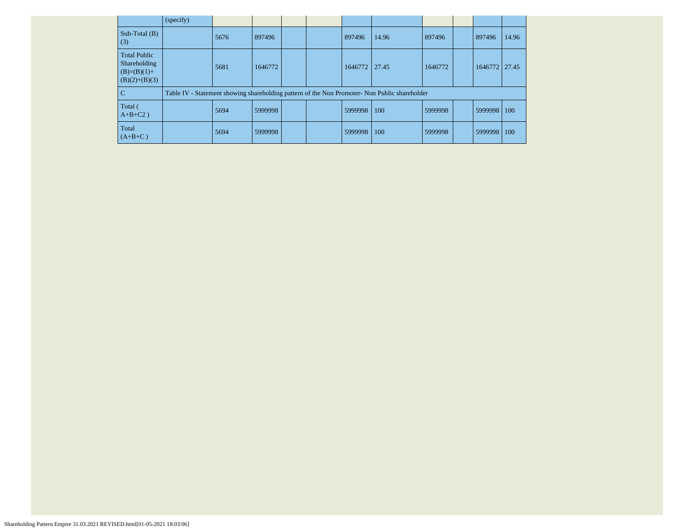|                                                                         | (specify) |      |         |  |         |                                                                                               |         |         |       |
|-------------------------------------------------------------------------|-----------|------|---------|--|---------|-----------------------------------------------------------------------------------------------|---------|---------|-------|
| Sub-Total $(B)$<br>(3)                                                  |           | 5676 | 897496  |  | 897496  | 14.96                                                                                         | 897496  | 897496  | 14.96 |
| <b>Total Public</b><br>Shareholding<br>$(B)=(B)(1)+$<br>$(B)(2)+(B)(3)$ |           | 5681 | 1646772 |  | 1646772 | 27.45                                                                                         | 1646772 | 1646772 | 27.45 |
| $\overline{C}$                                                          |           |      |         |  |         | Table IV - Statement showing shareholding pattern of the Non Promoter- Non Public shareholder |         |         |       |
| Total (<br>$A+B+C2$ )                                                   |           | 5694 | 5999998 |  | 5999998 | 100                                                                                           | 5999998 | 5999998 | 100   |
| Total<br>$(A+B+C)$                                                      |           | 5694 | 5999998 |  | 5999998 | 100                                                                                           | 5999998 | 5999998 | 100   |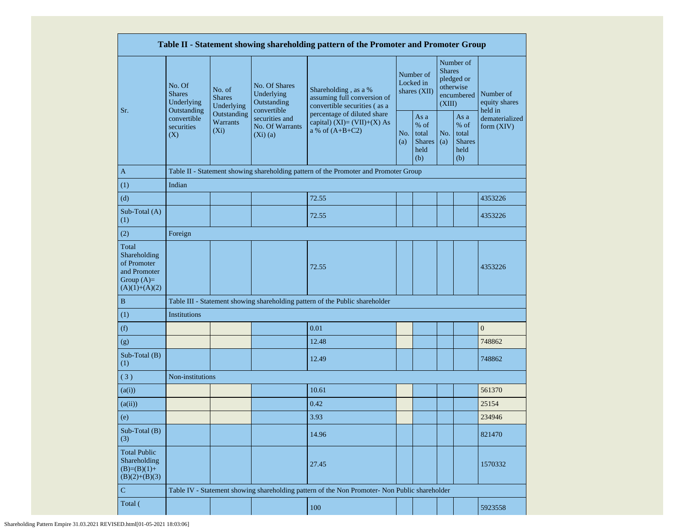|                                                                                         |                                                                        |                                       |                                                           | Table II - Statement showing shareholding pattern of the Promoter and Promoter Group          |         |                                                         |                                                                               |                                                       |                                       |  |
|-----------------------------------------------------------------------------------------|------------------------------------------------------------------------|---------------------------------------|-----------------------------------------------------------|-----------------------------------------------------------------------------------------------|---------|---------------------------------------------------------|-------------------------------------------------------------------------------|-------------------------------------------------------|---------------------------------------|--|
|                                                                                         | No. Of<br><b>Shares</b><br>Underlying<br>Outstanding                   | No. of<br><b>Shares</b><br>Underlying | No. Of Shares<br>Underlying<br>Outstanding<br>convertible | Shareholding, as a %<br>assuming full conversion of<br>convertible securities (as a           |         | Number of<br>Locked in<br>shares $(XII)$                | Number of<br><b>Shares</b><br>pledged or<br>otherwise<br>encumbered<br>(XIII) |                                                       | Number of<br>equity shares<br>held in |  |
| Sr.                                                                                     | Outstanding<br>convertible<br>Warrants<br>securities<br>$(X_i)$<br>(X) |                                       | securities and<br>No. Of Warrants<br>$(Xi)$ (a)           | percentage of diluted share<br>capital) (XI)= $(VII)+(X)$ As<br>a % of $(A+B+C2)$             |         | As a<br>$%$ of<br>total<br><b>Shares</b><br>held<br>(b) | No.<br>(a)                                                                    | As a<br>% of<br>total<br><b>Shares</b><br>held<br>(b) | dematerialized<br>form $(XIV)$        |  |
| $\mathbf{A}$                                                                            |                                                                        |                                       |                                                           | Table II - Statement showing shareholding pattern of the Promoter and Promoter Group          |         |                                                         |                                                                               |                                                       |                                       |  |
| (1)                                                                                     | Indian                                                                 |                                       |                                                           |                                                                                               |         |                                                         |                                                                               |                                                       |                                       |  |
| (d)                                                                                     |                                                                        |                                       |                                                           | 72.55                                                                                         |         |                                                         |                                                                               |                                                       | 4353226                               |  |
| Sub-Total (A)<br>(1)                                                                    |                                                                        |                                       |                                                           | 72.55                                                                                         |         |                                                         |                                                                               |                                                       | 4353226                               |  |
| (2)                                                                                     | Foreign                                                                |                                       |                                                           |                                                                                               |         |                                                         |                                                                               |                                                       |                                       |  |
| Total<br>Shareholding<br>of Promoter<br>and Promoter<br>Group $(A)=$<br>$(A)(1)+(A)(2)$ | 72.55                                                                  |                                       |                                                           |                                                                                               |         |                                                         |                                                                               | 4353226                                               |                                       |  |
| B                                                                                       |                                                                        |                                       |                                                           | Table III - Statement showing shareholding pattern of the Public shareholder                  |         |                                                         |                                                                               |                                                       |                                       |  |
| (1)                                                                                     | Institutions                                                           |                                       |                                                           |                                                                                               |         |                                                         |                                                                               |                                                       |                                       |  |
| (f)                                                                                     |                                                                        |                                       |                                                           | 0.01                                                                                          |         |                                                         |                                                                               |                                                       | $\boldsymbol{0}$                      |  |
| (g)                                                                                     |                                                                        |                                       |                                                           | 12.48                                                                                         |         |                                                         |                                                                               |                                                       | 748862                                |  |
| Sub-Total (B)<br>(1)                                                                    |                                                                        |                                       |                                                           | 12.49                                                                                         |         |                                                         |                                                                               |                                                       | 748862                                |  |
| (3)                                                                                     | Non-institutions                                                       |                                       |                                                           |                                                                                               |         |                                                         |                                                                               |                                                       |                                       |  |
| (a(i))                                                                                  |                                                                        |                                       |                                                           | 10.61                                                                                         |         |                                                         |                                                                               |                                                       | 561370                                |  |
| (a(ii))                                                                                 |                                                                        |                                       |                                                           | 0.42                                                                                          |         |                                                         |                                                                               |                                                       | 25154                                 |  |
| (e)                                                                                     |                                                                        |                                       |                                                           | 3.93                                                                                          |         |                                                         |                                                                               |                                                       | 234946                                |  |
| Sub-Total (B)<br>(3)                                                                    |                                                                        |                                       |                                                           | 14.96                                                                                         |         |                                                         |                                                                               |                                                       | 821470                                |  |
| <b>Total Public</b><br>Shareholding<br>$(B)=(B)(1)+$<br>$(B)(2)+(B)(3)$                 |                                                                        | 27.45                                 |                                                           |                                                                                               | 1570332 |                                                         |                                                                               |                                                       |                                       |  |
| ${\bf C}$                                                                               |                                                                        |                                       |                                                           | Table IV - Statement showing shareholding pattern of the Non Promoter- Non Public shareholder |         |                                                         |                                                                               |                                                       |                                       |  |
| Total (                                                                                 |                                                                        |                                       |                                                           | 100                                                                                           |         |                                                         |                                                                               |                                                       | 5923558                               |  |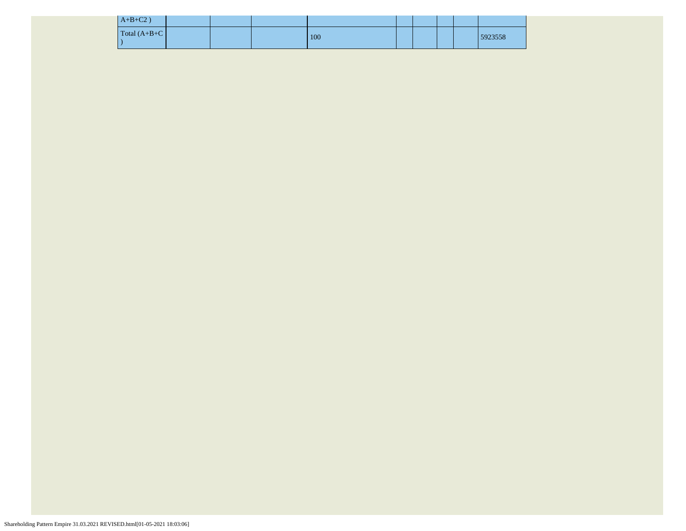| $A+B+C2$ )      |  |     |  |  |         |
|-----------------|--|-----|--|--|---------|
| $Total (A+B+C)$ |  | 100 |  |  | 5923558 |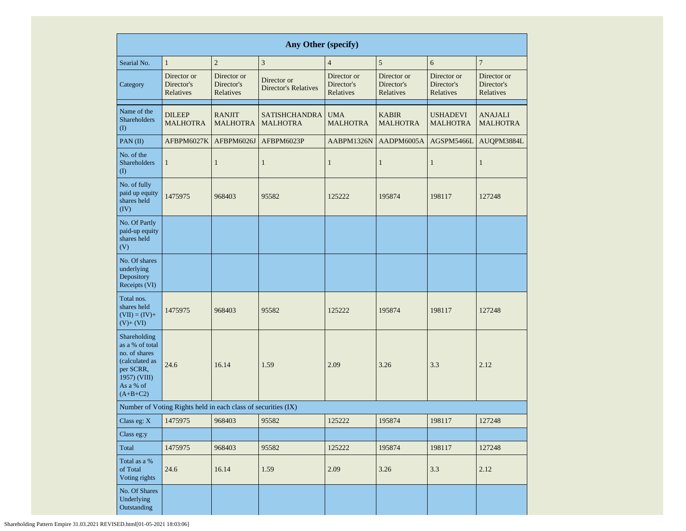|                                                                                                                            | <b>Any Other (specify)</b>                                    |                                        |                                            |                                        |                                        |                                        |                                        |  |  |  |  |  |
|----------------------------------------------------------------------------------------------------------------------------|---------------------------------------------------------------|----------------------------------------|--------------------------------------------|----------------------------------------|----------------------------------------|----------------------------------------|----------------------------------------|--|--|--|--|--|
| Searial No.                                                                                                                | $\mathbf{1}$                                                  | $\sqrt{2}$                             | $\mathfrak z$                              | $\overline{4}$                         | $\sqrt{5}$                             | $\sqrt{6}$                             | $\overline{7}$                         |  |  |  |  |  |
| Category                                                                                                                   | Director or<br>Director's<br>Relatives                        | Director or<br>Director's<br>Relatives | Director or<br><b>Director's Relatives</b> | Director or<br>Director's<br>Relatives | Director or<br>Director's<br>Relatives | Director or<br>Director's<br>Relatives | Director or<br>Director's<br>Relatives |  |  |  |  |  |
| Name of the<br>Shareholders<br>$\rm _{(I)}$                                                                                | <b>DILEEP</b><br><b>MALHOTRA</b>                              | <b>RANJIT</b><br><b>MALHOTRA</b>       | <b>SATISHCHANDRA</b><br><b>MALHOTRA</b>    | <b>UMA</b><br><b>MALHOTRA</b>          | <b>KABIR</b><br><b>MALHOTRA</b>        | <b>USHADEVI</b><br><b>MALHOTRA</b>     | <b>ANAJALI</b><br><b>MALHOTRA</b>      |  |  |  |  |  |
| PAN(II)                                                                                                                    | AFBPM6027K                                                    | AFBPM6026J                             | AFBPM6023P                                 | AABPM1326N                             | AADPM6005A                             | AGSPM5466L                             | AUQPM3884L                             |  |  |  |  |  |
| No. of the<br><b>Shareholders</b><br>(I)                                                                                   | $\mathbf{1}$                                                  | 1                                      | $\mathbf{1}$                               | $\mathbf{1}$                           | $\mathbf{1}$                           | $\mathbf{1}$                           | $\mathbf{1}$                           |  |  |  |  |  |
| No. of fully<br>paid up equity<br>shares held<br>(IV)                                                                      | 1475975                                                       | 968403                                 | 95582                                      | 125222                                 | 195874                                 | 198117                                 | 127248                                 |  |  |  |  |  |
| No. Of Partly<br>paid-up equity<br>shares held<br>(V)                                                                      |                                                               |                                        |                                            |                                        |                                        |                                        |                                        |  |  |  |  |  |
| No. Of shares<br>underlying<br>Depository<br>Receipts (VI)                                                                 |                                                               |                                        |                                            |                                        |                                        |                                        |                                        |  |  |  |  |  |
| Total nos.<br>shares held<br>$(VII) = (IV) +$<br>$(V)+(VI)$                                                                | 1475975                                                       | 968403                                 | 95582                                      | 125222                                 | 195874                                 | 198117                                 | 127248                                 |  |  |  |  |  |
| Shareholding<br>as a % of total<br>no. of shares<br>(calculated as<br>per SCRR,<br>1957) (VIII)<br>As a % of<br>$(A+B+C2)$ | 24.6                                                          | 16.14                                  | 1.59                                       | 2.09                                   | 3.26                                   | 3.3                                    | 2.12                                   |  |  |  |  |  |
|                                                                                                                            | Number of Voting Rights held in each class of securities (IX) |                                        |                                            |                                        |                                        |                                        |                                        |  |  |  |  |  |
| Class eg: $X$                                                                                                              | 1475975                                                       | 968403                                 | 95582                                      | 125222                                 | 195874                                 | 198117                                 | 127248                                 |  |  |  |  |  |
| Class eg:y                                                                                                                 |                                                               |                                        |                                            |                                        |                                        |                                        |                                        |  |  |  |  |  |
| Total                                                                                                                      | 1475975                                                       | 968403                                 | 95582                                      | 125222                                 | 195874                                 | 198117                                 | 127248                                 |  |  |  |  |  |
| Total as a %<br>of Total<br>Voting rights                                                                                  | 24.6                                                          | 16.14                                  | 1.59                                       | 2.09                                   | 3.26                                   | 3.3                                    | 2.12                                   |  |  |  |  |  |
| No. Of Shares<br>Underlying<br>Outstanding                                                                                 |                                                               |                                        |                                            |                                        |                                        |                                        |                                        |  |  |  |  |  |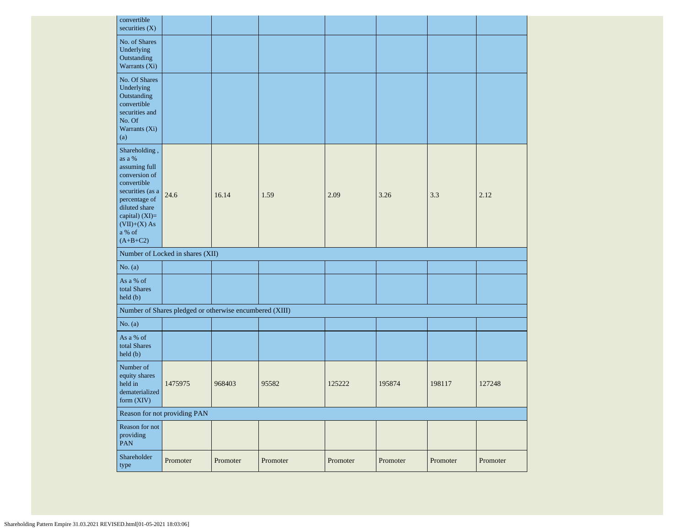| convertible<br>securities (X)                                                                                                                                                              |                                                         |        |       |        |        |        |        |
|--------------------------------------------------------------------------------------------------------------------------------------------------------------------------------------------|---------------------------------------------------------|--------|-------|--------|--------|--------|--------|
| No. of Shares<br>Underlying<br>Outstanding<br>Warrants (Xi)                                                                                                                                |                                                         |        |       |        |        |        |        |
| No. Of Shares<br>Underlying<br>Outstanding<br>convertible<br>securities and<br>No. Of<br>Warrants (Xi)<br>(a)                                                                              |                                                         |        |       |        |        |        |        |
| Shareholding,<br>as a %<br>assuming full<br>conversion of<br>convertible<br>securities (as a<br>percentage of<br>diluted share<br>capital) (XI)=<br>$(VII)+(X)$ As<br>a % of<br>$(A+B+C2)$ | 24.6                                                    | 16.14  | 1.59  | 2.09   | 3.26   | 3.3    | 2.12   |
|                                                                                                                                                                                            |                                                         |        |       |        |        |        |        |
|                                                                                                                                                                                            | Number of Locked in shares (XII)                        |        |       |        |        |        |        |
| No. $(a)$                                                                                                                                                                                  |                                                         |        |       |        |        |        |        |
| As a % of<br>total Shares<br>held (b)                                                                                                                                                      |                                                         |        |       |        |        |        |        |
|                                                                                                                                                                                            | Number of Shares pledged or otherwise encumbered (XIII) |        |       |        |        |        |        |
| No. $(a)$                                                                                                                                                                                  |                                                         |        |       |        |        |        |        |
| As a % of<br>total Shares<br>held (b)                                                                                                                                                      |                                                         |        |       |        |        |        |        |
| Number of<br>equity shares<br>held in<br>dematerialized<br>form $(XIV)$                                                                                                                    | 1475975                                                 | 968403 | 95582 | 125222 | 195874 | 198117 | 127248 |
|                                                                                                                                                                                            | Reason for not providing PAN                            |        |       |        |        |        |        |
| Reason for not<br>providing<br>PAN                                                                                                                                                         |                                                         |        |       |        |        |        |        |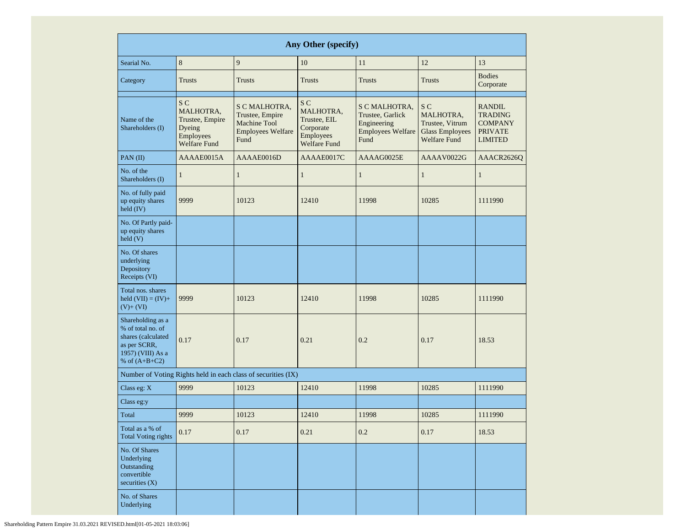| Any Other (specify)                                                                                                  |                                                                                   |                                                                                             |                                                                                              |                                                                                      |                                                                                                 |                                                                                       |  |  |  |  |  |
|----------------------------------------------------------------------------------------------------------------------|-----------------------------------------------------------------------------------|---------------------------------------------------------------------------------------------|----------------------------------------------------------------------------------------------|--------------------------------------------------------------------------------------|-------------------------------------------------------------------------------------------------|---------------------------------------------------------------------------------------|--|--|--|--|--|
| Searial No.                                                                                                          | 8                                                                                 | 9                                                                                           | 10                                                                                           | 11                                                                                   | 12                                                                                              | 13                                                                                    |  |  |  |  |  |
| Category                                                                                                             | <b>Trusts</b>                                                                     | <b>Trusts</b>                                                                               | <b>Trusts</b>                                                                                | <b>Trusts</b>                                                                        | <b>Trusts</b>                                                                                   | <b>Bodies</b><br>Corporate                                                            |  |  |  |  |  |
| Name of the<br>Shareholders (I)                                                                                      | S C<br>MALHOTRA,<br>Trustee, Empire<br>Dyeing<br>Employees<br><b>Welfare Fund</b> | S C MALHOTRA,<br>Trustee, Empire<br><b>Machine Tool</b><br><b>Employees Welfare</b><br>Fund | S <sub>C</sub><br>MALHOTRA,<br>Trustee, EIL<br>Corporate<br>Employees<br><b>Welfare Fund</b> | S C MALHOTRA,<br>Trustee, Garlick<br>Engineering<br><b>Employees Welfare</b><br>Fund | S <sub>C</sub><br>MALHOTRA,<br>Trustee. Vitrum<br><b>Glass Employees</b><br><b>Welfare Fund</b> | <b>RANDIL</b><br><b>TRADING</b><br><b>COMPANY</b><br><b>PRIVATE</b><br><b>LIMITED</b> |  |  |  |  |  |
| $PAN$ (II)                                                                                                           | AAAAE0015A                                                                        | AAAAE0016D                                                                                  | AAAAE0017C                                                                                   | AAAAG0025E                                                                           | AAAAV0022G                                                                                      | AAACR2626Q                                                                            |  |  |  |  |  |
| No. of the<br>Shareholders (I)                                                                                       | $\mathbf{1}$                                                                      | $\mathbf{1}$                                                                                | $\mathbf{1}$                                                                                 | $\mathbf{1}$                                                                         | $\mathbf{1}$                                                                                    | $\mathbf{1}$                                                                          |  |  |  |  |  |
| No. of fully paid<br>up equity shares<br>held $(IV)$                                                                 | 9999                                                                              | 10123                                                                                       | 12410                                                                                        | 11998                                                                                | 10285                                                                                           | 1111990                                                                               |  |  |  |  |  |
| No. Of Partly paid-<br>up equity shares<br>held (V)                                                                  |                                                                                   |                                                                                             |                                                                                              |                                                                                      |                                                                                                 |                                                                                       |  |  |  |  |  |
| No. Of shares<br>underlying<br>Depository<br>Receipts (VI)                                                           |                                                                                   |                                                                                             |                                                                                              |                                                                                      |                                                                                                 |                                                                                       |  |  |  |  |  |
| Total nos. shares<br>held $(VII) = (IV) +$<br>$(V)+(VI)$                                                             | 9999                                                                              | 10123                                                                                       | 12410                                                                                        | 11998                                                                                | 10285                                                                                           | 1111990                                                                               |  |  |  |  |  |
| Shareholding as a<br>% of total no. of<br>shares (calculated<br>as per SCRR,<br>1957) (VIII) As a<br>% of $(A+B+C2)$ | 0.17                                                                              | 0.17                                                                                        | 0.21                                                                                         | 0.2                                                                                  | 0.17                                                                                            | 18.53                                                                                 |  |  |  |  |  |
|                                                                                                                      |                                                                                   | Number of Voting Rights held in each class of securities (IX)                               |                                                                                              |                                                                                      |                                                                                                 |                                                                                       |  |  |  |  |  |
| Class eg: X                                                                                                          | 9999                                                                              | 10123                                                                                       | 12410                                                                                        | 11998                                                                                | 10285                                                                                           | 1111990                                                                               |  |  |  |  |  |
| Class eg:y                                                                                                           |                                                                                   |                                                                                             |                                                                                              |                                                                                      |                                                                                                 |                                                                                       |  |  |  |  |  |
| Total                                                                                                                | 9999                                                                              | 10123                                                                                       | 12410                                                                                        | 11998                                                                                | 10285                                                                                           | 1111990                                                                               |  |  |  |  |  |
| Total as a % of<br><b>Total Voting rights</b>                                                                        | 0.17                                                                              | 0.17                                                                                        | 0.21                                                                                         | 0.2                                                                                  | 0.17                                                                                            | 18.53                                                                                 |  |  |  |  |  |
| No. Of Shares<br>Underlying<br>Outstanding<br>convertible<br>securities $(X)$                                        |                                                                                   |                                                                                             |                                                                                              |                                                                                      |                                                                                                 |                                                                                       |  |  |  |  |  |
| No. of Shares<br>Underlying                                                                                          |                                                                                   |                                                                                             |                                                                                              |                                                                                      |                                                                                                 |                                                                                       |  |  |  |  |  |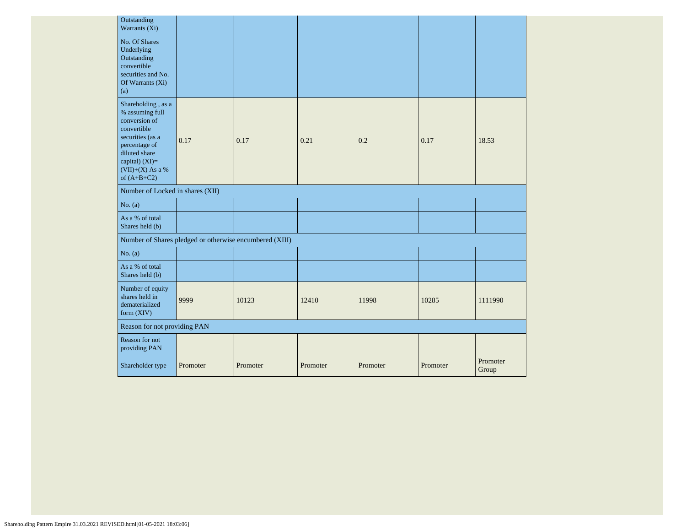| Outstanding<br>Warrants (Xi)                                                                                                                                                         |          |                                                         |          |          |          |                   |
|--------------------------------------------------------------------------------------------------------------------------------------------------------------------------------------|----------|---------------------------------------------------------|----------|----------|----------|-------------------|
| No. Of Shares<br>Underlying<br>Outstanding<br>convertible<br>securities and No.<br>Of Warrants (Xi)<br>(a)                                                                           |          |                                                         |          |          |          |                   |
| Shareholding, as a<br>% assuming full<br>conversion of<br>convertible<br>securities (as a<br>percentage of<br>diluted share<br>capital) $(XI)=$<br>(VII)+(X) As a %<br>of $(A+B+C2)$ | 0.17     | 0.17                                                    | 0.21     | 0.2      | 0.17     | 18.53             |
| Number of Locked in shares (XII)                                                                                                                                                     |          |                                                         |          |          |          |                   |
| No. $(a)$                                                                                                                                                                            |          |                                                         |          |          |          |                   |
| As a % of total<br>Shares held (b)                                                                                                                                                   |          |                                                         |          |          |          |                   |
|                                                                                                                                                                                      |          | Number of Shares pledged or otherwise encumbered (XIII) |          |          |          |                   |
| No. $(a)$                                                                                                                                                                            |          |                                                         |          |          |          |                   |
| As a % of total<br>Shares held (b)                                                                                                                                                   |          |                                                         |          |          |          |                   |
| Number of equity<br>shares held in<br>dematerialized<br>form (XIV)                                                                                                                   | 9999     | 10123                                                   | 12410    | 11998    | 10285    | 1111990           |
| Reason for not providing PAN                                                                                                                                                         |          |                                                         |          |          |          |                   |
| Reason for not<br>providing PAN                                                                                                                                                      |          |                                                         |          |          |          |                   |
| Shareholder type                                                                                                                                                                     | Promoter | Promoter                                                | Promoter | Promoter | Promoter | Promoter<br>Group |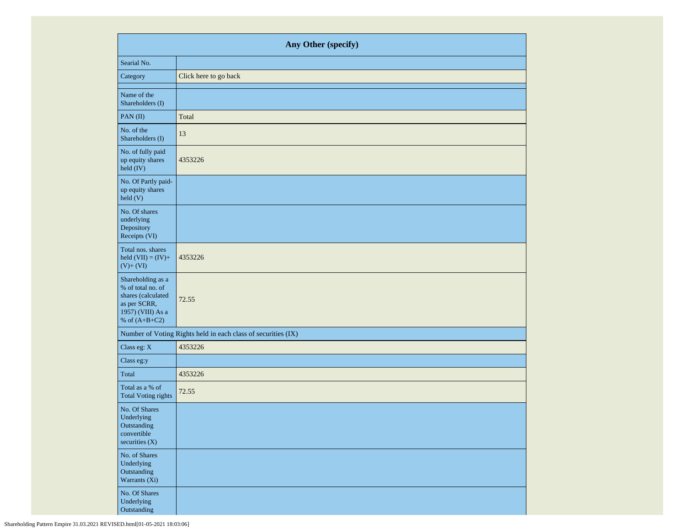|                                                                                                                      | Any Other (specify)                                           |  |  |  |  |  |  |  |  |
|----------------------------------------------------------------------------------------------------------------------|---------------------------------------------------------------|--|--|--|--|--|--|--|--|
| Searial No.                                                                                                          |                                                               |  |  |  |  |  |  |  |  |
| Category                                                                                                             | Click here to go back                                         |  |  |  |  |  |  |  |  |
| Name of the<br>Shareholders (I)                                                                                      |                                                               |  |  |  |  |  |  |  |  |
| PAN(II)                                                                                                              | Total                                                         |  |  |  |  |  |  |  |  |
| No. of the<br>Shareholders (I)                                                                                       | 13                                                            |  |  |  |  |  |  |  |  |
| No. of fully paid<br>up equity shares<br>held (IV)                                                                   | 4353226                                                       |  |  |  |  |  |  |  |  |
| No. Of Partly paid-<br>up equity shares<br>held(V)                                                                   |                                                               |  |  |  |  |  |  |  |  |
| No. Of shares<br>underlying<br>Depository<br>Receipts (VI)                                                           |                                                               |  |  |  |  |  |  |  |  |
| Total nos. shares<br>held $(VII) = (IV) +$<br>$(V)+(VI)$                                                             | 4353226                                                       |  |  |  |  |  |  |  |  |
| Shareholding as a<br>% of total no. of<br>shares (calculated<br>as per SCRR,<br>1957) (VIII) As a<br>% of $(A+B+C2)$ | 72.55                                                         |  |  |  |  |  |  |  |  |
|                                                                                                                      | Number of Voting Rights held in each class of securities (IX) |  |  |  |  |  |  |  |  |
| Class eg: X                                                                                                          | 4353226                                                       |  |  |  |  |  |  |  |  |
| Class eg:y                                                                                                           |                                                               |  |  |  |  |  |  |  |  |
| Total                                                                                                                | 4353226                                                       |  |  |  |  |  |  |  |  |
| Total as a % of<br><b>Total Voting rights</b>                                                                        | 72.55                                                         |  |  |  |  |  |  |  |  |
| No. Of Shares<br>Underlying<br>Outstanding<br>convertible<br>securities $(X)$                                        |                                                               |  |  |  |  |  |  |  |  |
| No. of Shares<br>Underlying<br>Outstanding<br>Warrants (Xi)                                                          |                                                               |  |  |  |  |  |  |  |  |
| No. Of Shares<br>Underlying<br>Outstanding                                                                           |                                                               |  |  |  |  |  |  |  |  |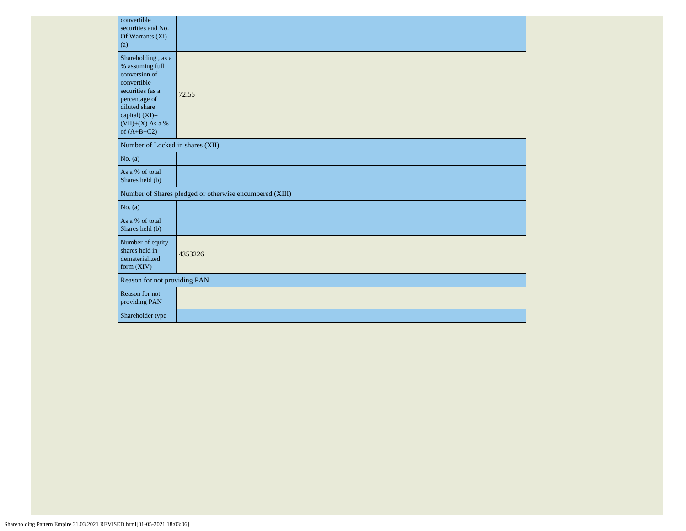| convertible<br>securities and No.<br>Of Warrants (Xi)<br>(a)                                                                                                                           |                                                         |  |  |  |  |  |  |  |
|----------------------------------------------------------------------------------------------------------------------------------------------------------------------------------------|---------------------------------------------------------|--|--|--|--|--|--|--|
| Shareholding, as a<br>% assuming full<br>conversion of<br>convertible<br>securities (as a<br>percentage of<br>diluted share<br>capital) $(XI)=$<br>$(VII)+(X)$ As a %<br>of $(A+B+C2)$ | 72.55                                                   |  |  |  |  |  |  |  |
| Number of Locked in shares (XII)                                                                                                                                                       |                                                         |  |  |  |  |  |  |  |
| No. (a)                                                                                                                                                                                |                                                         |  |  |  |  |  |  |  |
| As a % of total<br>Shares held (b)                                                                                                                                                     |                                                         |  |  |  |  |  |  |  |
|                                                                                                                                                                                        | Number of Shares pledged or otherwise encumbered (XIII) |  |  |  |  |  |  |  |
| No. (a)                                                                                                                                                                                |                                                         |  |  |  |  |  |  |  |
| As a % of total<br>Shares held (b)                                                                                                                                                     |                                                         |  |  |  |  |  |  |  |
| Number of equity<br>shares held in<br>dematerialized<br>form $(XIV)$                                                                                                                   | 4353226                                                 |  |  |  |  |  |  |  |
|                                                                                                                                                                                        | Reason for not providing PAN                            |  |  |  |  |  |  |  |
| Reason for not<br>providing PAN                                                                                                                                                        |                                                         |  |  |  |  |  |  |  |
| Shareholder type                                                                                                                                                                       |                                                         |  |  |  |  |  |  |  |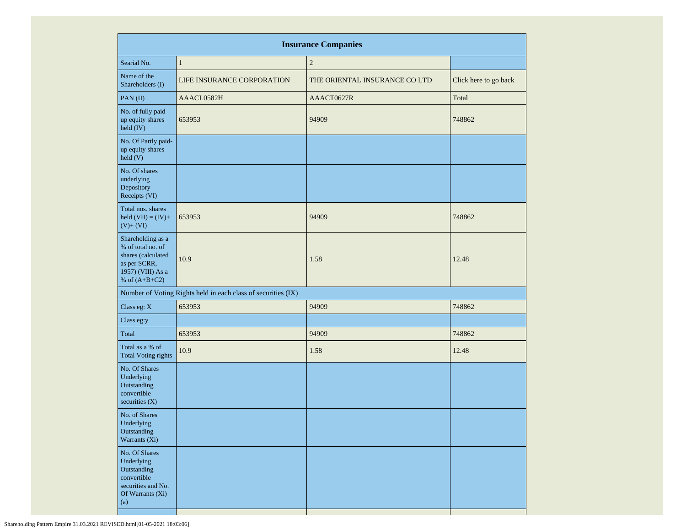| <b>Insurance Companies</b>                                                                                           |                                                               |                               |                       |  |  |  |  |  |  |  |  |  |
|----------------------------------------------------------------------------------------------------------------------|---------------------------------------------------------------|-------------------------------|-----------------------|--|--|--|--|--|--|--|--|--|
| Searial No.                                                                                                          | $\mathbf{1}$                                                  | $\sqrt{2}$                    |                       |  |  |  |  |  |  |  |  |  |
| Name of the<br>Shareholders (I)                                                                                      | <b>LIFE INSURANCE CORPORATION</b>                             | THE ORIENTAL INSURANCE CO LTD | Click here to go back |  |  |  |  |  |  |  |  |  |
| PAN(II)                                                                                                              | AAACL0582H                                                    | AAACT0627R                    | Total                 |  |  |  |  |  |  |  |  |  |
| No. of fully paid<br>up equity shares<br>held (IV)                                                                   | 653953                                                        | 94909                         | 748862                |  |  |  |  |  |  |  |  |  |
| No. Of Partly paid-<br>up equity shares<br>$\text{held}$ (V)                                                         |                                                               |                               |                       |  |  |  |  |  |  |  |  |  |
| No. Of shares<br>underlying<br>Depository<br>Receipts (VI)                                                           |                                                               |                               |                       |  |  |  |  |  |  |  |  |  |
| Total nos. shares<br>held $(VII) = (IV) +$<br>$(V)+(VI)$                                                             | 653953                                                        | 94909                         | 748862                |  |  |  |  |  |  |  |  |  |
| Shareholding as a<br>% of total no. of<br>shares (calculated<br>as per SCRR,<br>1957) (VIII) As a<br>% of $(A+B+C2)$ | 10.9                                                          | 1.58                          | 12.48                 |  |  |  |  |  |  |  |  |  |
|                                                                                                                      | Number of Voting Rights held in each class of securities (IX) |                               |                       |  |  |  |  |  |  |  |  |  |
| Class eg: X                                                                                                          | 653953                                                        | 94909                         | 748862                |  |  |  |  |  |  |  |  |  |
| Class eg:y                                                                                                           |                                                               |                               |                       |  |  |  |  |  |  |  |  |  |
| Total                                                                                                                | 653953                                                        | 94909                         | 748862                |  |  |  |  |  |  |  |  |  |
| Total as a % of<br><b>Total Voting rights</b>                                                                        | 10.9                                                          | 1.58                          | 12.48                 |  |  |  |  |  |  |  |  |  |
| No. Of Shares<br>Underlying<br>Outstanding<br>convertible<br>securities $(X)$                                        |                                                               |                               |                       |  |  |  |  |  |  |  |  |  |
| No. of Shares<br>Underlying<br>Outstanding<br>Warrants (Xi)                                                          |                                                               |                               |                       |  |  |  |  |  |  |  |  |  |
| No. Of Shares<br>Underlying<br>Outstanding<br>convertible<br>securities and No.<br>Of Warrants (Xi)<br>(a)           |                                                               |                               |                       |  |  |  |  |  |  |  |  |  |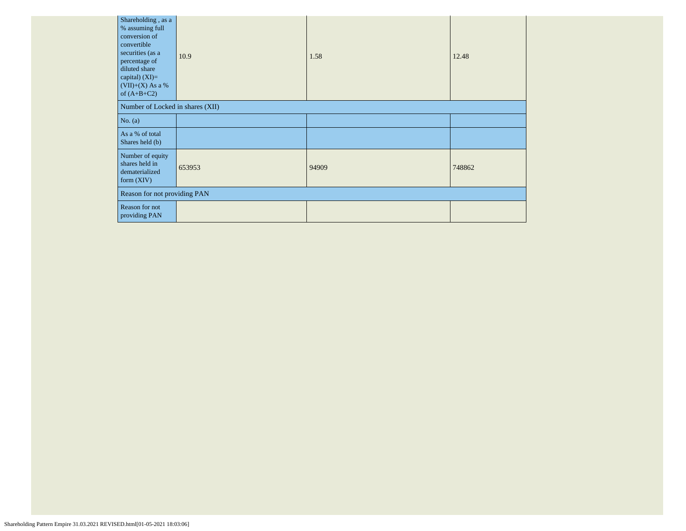| Shareholding, as a<br>% assuming full<br>conversion of<br>convertible<br>securities (as a<br>percentage of<br>diluted share<br>capital) $(XI)=$<br>$(VII)+(X)$ As a %<br>of $(A+B+C2)$ | 10.9   | 1.58  | 12.48  |  |  |  |  |
|----------------------------------------------------------------------------------------------------------------------------------------------------------------------------------------|--------|-------|--------|--|--|--|--|
| Number of Locked in shares (XII)                                                                                                                                                       |        |       |        |  |  |  |  |
| No. $(a)$                                                                                                                                                                              |        |       |        |  |  |  |  |
| As a % of total<br>Shares held (b)                                                                                                                                                     |        |       |        |  |  |  |  |
| Number of equity<br>shares held in<br>dematerialized<br>form $(XIV)$                                                                                                                   | 653953 | 94909 | 748862 |  |  |  |  |
| Reason for not providing PAN                                                                                                                                                           |        |       |        |  |  |  |  |
| Reason for not<br>providing PAN                                                                                                                                                        |        |       |        |  |  |  |  |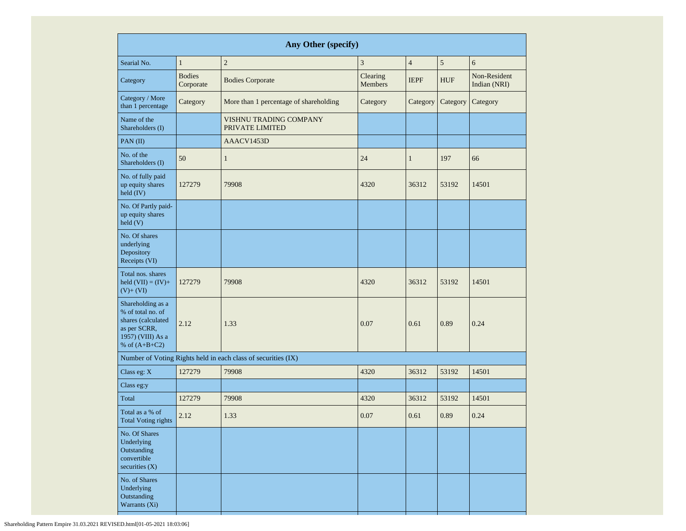| Any Other (specify)                                                                                                  |                            |                                                               |                            |                |            |                              |  |  |  |  |  |
|----------------------------------------------------------------------------------------------------------------------|----------------------------|---------------------------------------------------------------|----------------------------|----------------|------------|------------------------------|--|--|--|--|--|
| Searial No.                                                                                                          | $\mathbf{1}$               | $\sqrt{2}$                                                    | 3                          | $\overline{4}$ | 5          | 6                            |  |  |  |  |  |
| Category                                                                                                             | <b>Bodies</b><br>Corporate | <b>Bodies Corporate</b>                                       | Clearing<br><b>Members</b> | <b>IEPF</b>    | <b>HUF</b> | Non-Resident<br>Indian (NRI) |  |  |  |  |  |
| Category / More<br>than 1 percentage                                                                                 | Category                   | More than 1 percentage of shareholding                        | Category                   | Category       | Category   | Category                     |  |  |  |  |  |
| Name of the<br>Shareholders (I)                                                                                      |                            | VISHNU TRADING COMPANY<br>PRIVATE LIMITED                     |                            |                |            |                              |  |  |  |  |  |
| PAN(II)                                                                                                              |                            | AAACV1453D                                                    |                            |                |            |                              |  |  |  |  |  |
| No. of the<br>Shareholders (I)                                                                                       | 50                         | $\mathbf{1}$                                                  | 24                         | $\mathbf{1}$   | 197<br>66  |                              |  |  |  |  |  |
| No. of fully paid<br>up equity shares<br>$held$ (IV)                                                                 | 127279                     | 79908                                                         | 4320                       | 36312          | 53192      | 14501                        |  |  |  |  |  |
| No. Of Partly paid-<br>up equity shares<br>held(V)                                                                   |                            |                                                               |                            |                |            |                              |  |  |  |  |  |
| No. Of shares<br>underlying<br>Depository<br>Receipts (VI)                                                           |                            |                                                               |                            |                |            |                              |  |  |  |  |  |
| Total nos. shares<br>held $(VII) = (IV) +$<br>$(V)+(VI)$                                                             | 127279                     | 79908                                                         | 4320                       | 36312          | 53192      | 14501                        |  |  |  |  |  |
| Shareholding as a<br>% of total no. of<br>shares (calculated<br>as per SCRR,<br>1957) (VIII) As a<br>% of $(A+B+C2)$ | 2.12                       | 1.33                                                          | 0.07                       | 0.61           | 0.89       | 0.24                         |  |  |  |  |  |
|                                                                                                                      |                            | Number of Voting Rights held in each class of securities (IX) |                            |                |            |                              |  |  |  |  |  |
| Class eg: X                                                                                                          | 127279                     | 79908                                                         | 4320                       | 36312          | 53192      | 14501                        |  |  |  |  |  |
| Class eg:y                                                                                                           |                            |                                                               |                            |                |            |                              |  |  |  |  |  |
| Total                                                                                                                | 127279                     | 79908                                                         | 4320                       | 36312          | 53192      | 14501                        |  |  |  |  |  |
| Total as a % of<br>2.12<br><b>Total Voting rights</b>                                                                |                            | 1.33                                                          | 0.07                       | 0.61           | 0.89       | 0.24                         |  |  |  |  |  |
| No. Of Shares<br>Underlying<br>Outstanding<br>convertible<br>securities $(X)$                                        |                            |                                                               |                            |                |            |                              |  |  |  |  |  |
| No. of Shares<br>Underlying<br>Outstanding<br>Warrants (Xi)                                                          |                            |                                                               |                            |                |            |                              |  |  |  |  |  |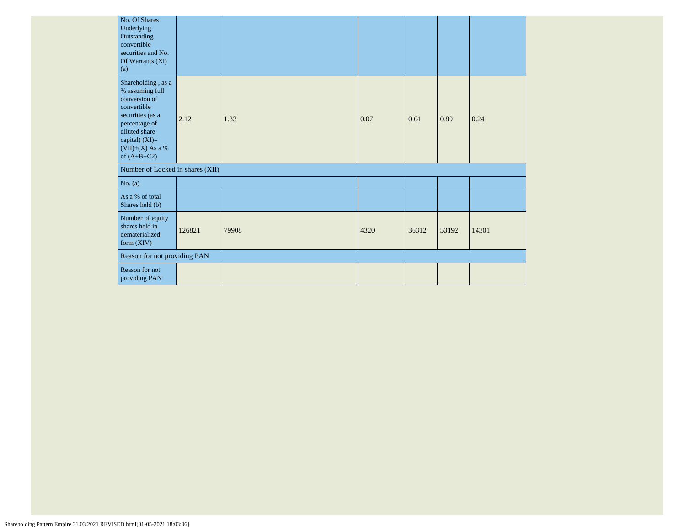|                                                                                | No. Of Shares<br>Underlying<br>Outstanding<br>convertible<br>securities and No.<br>Of Warrants (Xi)<br>(a)                                                                           |      |       |      |       |       |       |
|--------------------------------------------------------------------------------|--------------------------------------------------------------------------------------------------------------------------------------------------------------------------------------|------|-------|------|-------|-------|-------|
|                                                                                | Shareholding, as a<br>% assuming full<br>conversion of<br>convertible<br>securities (as a<br>percentage of<br>diluted share<br>capital) $(XI)=$<br>(VII)+(X) As a %<br>of $(A+B+C2)$ | 2.12 | 1.33  | 0.07 | 0.61  | 0.89  | 0.24  |
|                                                                                | Number of Locked in shares (XII)                                                                                                                                                     |      |       |      |       |       |       |
|                                                                                | No. $(a)$                                                                                                                                                                            |      |       |      |       |       |       |
|                                                                                | As a % of total<br>Shares held (b)                                                                                                                                                   |      |       |      |       |       |       |
| Number of equity<br>shares held in<br>126821<br>dematerialized<br>form $(XIV)$ |                                                                                                                                                                                      |      | 79908 | 4320 | 36312 | 53192 | 14301 |
|                                                                                | Reason for not providing PAN                                                                                                                                                         |      |       |      |       |       |       |
|                                                                                | <b>Reason for not</b><br>providing PAN                                                                                                                                               |      |       |      |       |       |       |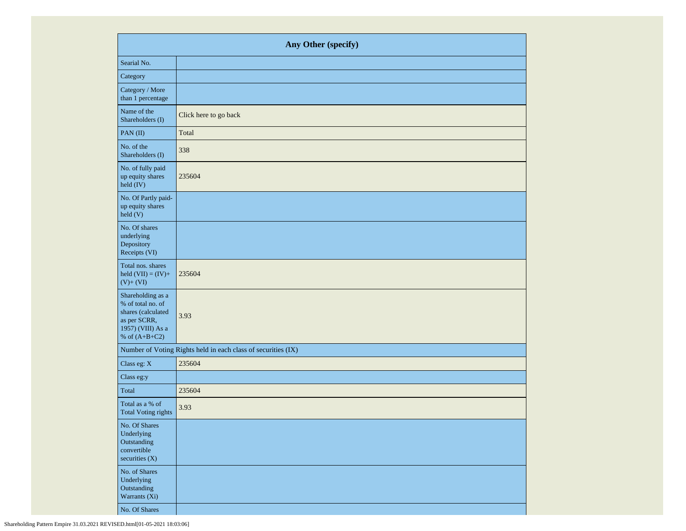|                                                                                                                      | Any Other (specify)                                           |  |  |  |  |  |  |  |
|----------------------------------------------------------------------------------------------------------------------|---------------------------------------------------------------|--|--|--|--|--|--|--|
| Searial No.                                                                                                          |                                                               |  |  |  |  |  |  |  |
| Category                                                                                                             |                                                               |  |  |  |  |  |  |  |
| Category / More<br>than 1 percentage                                                                                 |                                                               |  |  |  |  |  |  |  |
| Name of the<br>Shareholders (I)                                                                                      | Click here to go back                                         |  |  |  |  |  |  |  |
| PAN(II)                                                                                                              | Total                                                         |  |  |  |  |  |  |  |
| No. of the<br>Shareholders (I)                                                                                       | 338                                                           |  |  |  |  |  |  |  |
| No. of fully paid<br>up equity shares<br>held (IV)                                                                   | 235604                                                        |  |  |  |  |  |  |  |
| No. Of Partly paid-<br>up equity shares<br>held(V)                                                                   |                                                               |  |  |  |  |  |  |  |
| No. Of shares<br>underlying<br>Depository<br>Receipts (VI)                                                           |                                                               |  |  |  |  |  |  |  |
| Total nos. shares<br>held $(VII) = (IV) +$<br>$(V)+(VI)$                                                             | 235604                                                        |  |  |  |  |  |  |  |
| Shareholding as a<br>% of total no. of<br>shares (calculated<br>as per SCRR,<br>1957) (VIII) As a<br>% of $(A+B+C2)$ | 3.93                                                          |  |  |  |  |  |  |  |
|                                                                                                                      | Number of Voting Rights held in each class of securities (IX) |  |  |  |  |  |  |  |
| Class eg: X                                                                                                          | 235604                                                        |  |  |  |  |  |  |  |
| Class eg:y                                                                                                           |                                                               |  |  |  |  |  |  |  |
| Total                                                                                                                | 235604                                                        |  |  |  |  |  |  |  |
| Total as a % of<br><b>Total Voting rights</b>                                                                        | 3.93                                                          |  |  |  |  |  |  |  |
| No. Of Shares<br>Underlying<br>Outstanding<br>convertible<br>securities $(X)$                                        |                                                               |  |  |  |  |  |  |  |
| No. of Shares<br>Underlying<br>Outstanding<br>Warrants (Xi)                                                          |                                                               |  |  |  |  |  |  |  |
| No. Of Shares                                                                                                        |                                                               |  |  |  |  |  |  |  |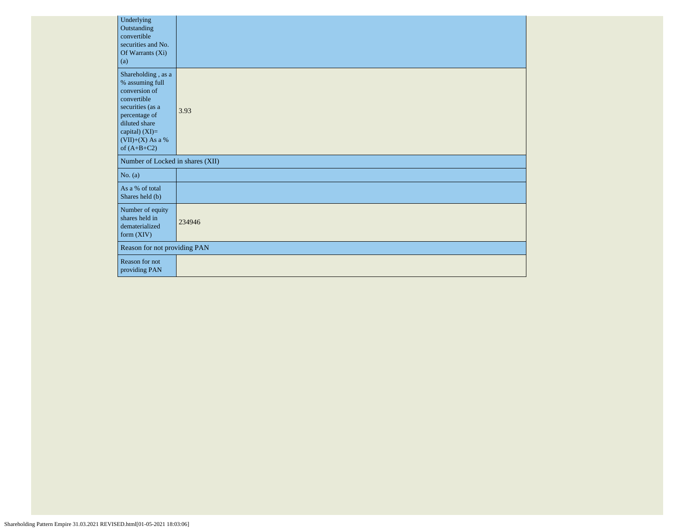| Underlying<br>Outstanding<br>convertible<br>securities and No.<br>Of Warrants (Xi)<br>(a)                                                                                            |        |
|--------------------------------------------------------------------------------------------------------------------------------------------------------------------------------------|--------|
| Shareholding, as a<br>% assuming full<br>conversion of<br>convertible<br>securities (as a<br>percentage of<br>diluted share<br>capital) (XI)=<br>$(VII)+(X)$ As a %<br>of $(A+B+C2)$ | 3.93   |
| Number of Locked in shares (XII)                                                                                                                                                     |        |
| No. $(a)$                                                                                                                                                                            |        |
| As a % of total<br>Shares held (b)                                                                                                                                                   |        |
| Number of equity<br>shares held in<br>dematerialized<br>form $(XIV)$                                                                                                                 | 234946 |
| Reason for not providing PAN                                                                                                                                                         |        |
| Reason for not<br>providing PAN                                                                                                                                                      |        |